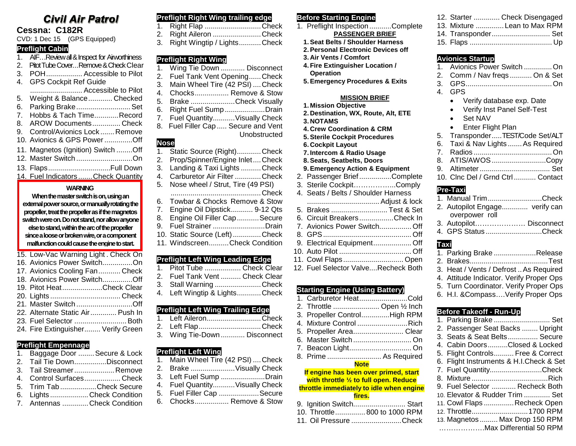# **Civil Air Patrol**

## **Cessna: C182R**

CVD: 1 Dec 15 (GPS Equipped)

### **Preflight Cabin**

- 1. AIF…Review all & Inspect for Airworthiness
- 2. Pitot Tube Cover...Remove & Check Clear
- 3. POH.................. Accessible to Pilot 4. GPS Cockpit Ref Guide
- .......................... Accessible to Pilot 5. Weight & Balance............ Checked 6. Parking Brake...........................Set 7. Hobbs & Tach Time............Record 8. AROW Documents.............. Check 9. Control/Avionics Lock ....... Remove 10. Avionics & GPS Power..............Off 11. Magnetos (Ignition) Switch ........Off 12. Master Switch ............................On
- 13. Flaps...............................Full Down 14. Fuel Indicators ....... Check Quantity

### **WARNING**

### **When the master switch is on, using an external power source, or manually rotating the propeller, treat the propeller as if the magnetos switch were on. Do not stand, nor allow anyone else to stand, within the arc of the propeller since a loose or broken wire, or a component malfunction could cause the engine to start.**

- 15. Low-Vac Warning Light . Check On 16. Avionics Power Switch...............On
- 17. Avionics Cooling Fan........... Check 18. Avionics Power Switch...............Off 19. Pitot Heat....................Check Clear 20. Lights ................................... Check 21. Master Switch ............................Off 22. Alternate Static Air............. Push In
- 23. Fuel Selector ..........................Both 24. Fire Extinguisher........ Verify Green

### **Preflight Empennage**

- 1. Baggage Door ........ Secure & Lock
- 2. Tail Tie Down................Disconnect 3. Tail Streamer....................Remove
- 4. Control Surfaces.................. Check
- 5. Trim Tab ..................Check Secure
- 6. Lights ...................Check Condition
- 7. Antennas .............Check Condition

## **Preflight Right Wing trailing edge**

| 1. Right Flap Check            |  |
|--------------------------------|--|
| 2. Right Aileron Check         |  |
| 3. Right Wingtip / LightsCheck |  |

## **Preflight Right Wing**

- 1. Wing Tie Down ............ Disconnect
- 2. Fuel Tank Vent Opening......Check
- 3. Main Wheel Tire (42 PSI) ....Check
- 4. Chocks................. Remove & Stow
- 5. Brake ......................Check Visually
- 6. Right Fuel Sump....................Drain
- 7. Fuel Quantity...........Visually Check 8. Fuel Filler Cap ..... Secure and Vent
	- Unobstructed

# **Nose**

- 1. Static Source (Right)............Check<br>2. Prop/Spinner/Engine Inlet....Check
- Prop/Spinner/Engine Inlet....Check
- 3. Landing & Taxi Lights ..........Check 4. Carburetor Air Filter .............Check
- 5. Nose wheel / Strut, Tire (49 PSI)
- .............................................Check 6. Towbar & Chocks Remove & Stow
- 7. Engine Oil Dipstick........... 9-12 Qts
- 8. Engine Oil Filler Cap ........... Secure
- 9. Fuel Strainer ..........................Drain
- 10. Static Source (Left)..............Check
- 11. Windscreen..........Check Condition

### **Preflight Left Wing Leading Edge**

| 1. Pitot Tube  Check Clear     |  |
|--------------------------------|--|
| 2. Fuel Tank Vent  Check Clear |  |
| 3. Stall Warning Check         |  |

4. Left Wingtip & Lights............Check

### **Preflight Left Wing Trailing Edge**

- 1. Left Aileron...........................Check 2. Left Flap...............................Check
- 3. Wing Tie-Down ............ Disconnect

### **Preflight Left Wing**

- 1. Main Wheel Tire (42 PSI) ....Check 2. Brake ......................Visually Check 3. Left Fuel Sump ......................Drain
- 4. Fuel Quantity...........Visually Check
- 5. Fuel Filler Cap ....................Secure
- 6. Chocks................. Remove & Stow

## **Before Starting Engine**

- 1. Preflight Inspection...........Complete **PASSENGER BRIEF**
	- **1.Seat Belts / Shoulder Harness 2.Personal Electronic Devices off**
	- **3. Air Vents / Comfort**
	- **4. Fire Extinguisher Location /**
	- **Operation**
	- **5.Emergency Procedures & Exits**

### **MISSION BRIEF**

- **1. Mission Objective 2. Destination, WX, Route, Alt, ETE 3. NOTAMS**
- **4. Crew Coordination & CRM**
- **5.Sterile Cockpit Procedures**
- **6. Cockpit Layout**
- **7. Intercom & Radio Usage 8.Seats, Seatbelts, Doors**

# **9.Emergency Action & Equipment**

- 2. Passenger Brief................Complete
- 3. Sterile Cockpit……………...Comply
- 4. Seats / Belts / Shoulder Harness
- .................................... Adjust & lock
- 5. Brakes ............................ Test & Set
- 6. Circuit Breakers.................Check In 7. Avionics Power Switch................ Off
- 8. GPS............................................ Off 9. Electrical Equipment................... Off
- 10. Auto Pilot .................................... Off
- 11. Cowl Flaps.............................. Open 12. Fuel Selector Valve....Recheck Both
- 

### **Starting Engine (Using Battery)**

1. Carburetor Heat........................Cold 2. Throttle ....................... Open ½ Inch 3. Propeller Control..............High RPM 4. Mixture Control .........................Rich 5. Propeller Area......................... Clear 6. Master Switch ............................. On 7. Beacon Light............................... On 8. Prime ........................... As Required

### **Note**

### **If engine has been over primed, start with throttle ½ to full open. Reduce throttle immediately to idle when engine**

### **fires.**

- 9. Ignition Switch.......................... Start
- 10. Throttle............... 800 to 1000 RPM
- 11. Oil Pressure .........................Check

|  | 12. Starter  Check Disengaged |
|--|-------------------------------|
|  | 13. Mixture  Lean to Max RPM  |
|  | 14. Transponder Set           |
|  |                               |

|         | <b>Avionics Startup</b>                  |
|---------|------------------------------------------|
| $1_{-}$ | Avionics Power Switch  On                |
| 2.      | Comm / Nav freqs  On & Set               |
|         |                                          |
| 4.      | GPS                                      |
|         | Verify database exp. Date                |
|         | Verify Inst Panel Self-Test<br>$\bullet$ |
|         | Set NAV<br>$\bullet$                     |
|         | <b>Enter Flight Plan</b>                 |
|         | 5. TransponderTEST/Code Set/ALT          |
|         | 6. Taxi & Nav Lights  As Required        |
|         |                                          |
|         | 8. ATIS/AWOS Copy                        |
|         |                                          |
|         | 10. Cinc Del / Grnd Ctrl Contact         |
|         | Pre-Taxi                                 |
|         | 1. Manual TrimCheck                      |
|         |                                          |

| 2. Autopilot Engage verify can |                               |
|--------------------------------|-------------------------------|
| overpower roll                 |                               |
| 3. Autopilot Disconnect        |                               |
|                                | $\bigcap$ $\bigcup$ $\bigcap$ |

4. GPS Status ............................Check

## **Taxi**

- 1. Parking Brake .....................Release 2. Brakes.......................................Test 3. Heat / Vents / Defrost ..As Required 4. Attitude Indicator. Verify Proper Ops
- 5. Turn Coordinator. Verify Proper Ops 6. H.I. &Compass….Verify Proper Ops
- 

## **Before Takeoff - Run-Up**

| 1. Parking Brake  Set                   |
|-----------------------------------------|
| 2. Passenger Seat Backs  Upright        |
| 3. Seats & Seat Belts Secure            |
| 4. Cabin DoorsClosed & Locked           |
| 5. Flight Controls Free & Correct       |
| 6. Flight Instruments & H.I.Check & Set |
| 7. Fuel QuantityCheck                   |
|                                         |
| 9. Fuel Selector  Recheck Both          |
| 10. Elevator & Rudder Trim  Set         |
| 11. Cowl Flaps  Recheck Open            |
| 12. Throttle 1700 RPM                   |
| 13. Magnetos  Max Drop 150 RPM          |
| Max Differential 50 RPM                 |